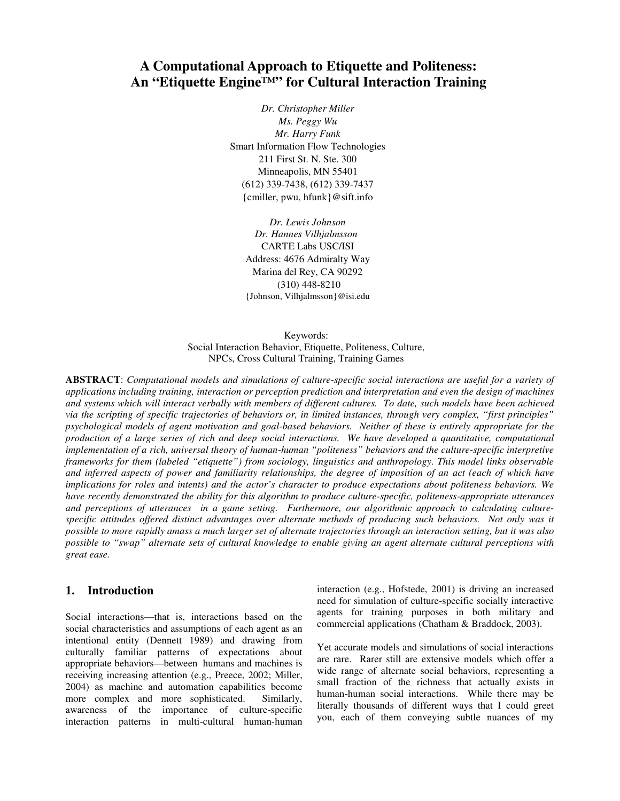# **A Computational Approach to Etiquette and Politeness: An "Etiquette Engine™" for Cultural Interaction Training**

*Dr. Christopher Miller Ms. Peggy Wu Mr. Harry Funk*  Smart Information Flow Technologies 211 First St. N. Ste. 300 Minneapolis, MN 55401 (612) 339-7438, (612) 339-7437 {cmiller, pwu, hfunk}@sift.info

*Dr. Lewis Johnson Dr. Hannes Vilhjalmsson*  CARTE Labs USC/ISI Address: 4676 Admiralty Way Marina del Rey, CA 90292 (310) 448-8210 {Johnson, Vilhjalmsson}@isi.edu

Keywords: Social Interaction Behavior, Etiquette, Politeness, Culture, NPCs, Cross Cultural Training, Training Games

**ABSTRACT**: *Computational models and simulations of culture-specific social interactions are useful for a variety of applications including training, interaction or perception prediction and interpretation and even the design of machines and systems which will interact verbally with members of different cultures. To date, such models have been achieved via the scripting of specific trajectories of behaviors or, in limited instances, through very complex, "first principles" psychological models of agent motivation and goal-based behaviors. Neither of these is entirely appropriate for the production of a large series of rich and deep social interactions. We have developed a quantitative, computational implementation of a rich, universal theory of human-human "politeness" behaviors and the culture-specific interpretive frameworks for them (labeled "etiquette") from sociology, linguistics and anthropology. This model links observable and inferred aspects of power and familiarity relationships, the degree of imposition of an act (each of which have implications for roles and intents) and the actor's character to produce expectations about politeness behaviors. We have recently demonstrated the ability for this algorithm to produce culture-specific, politeness-appropriate utterances and perceptions of utterances in a game setting. Furthermore, our algorithmic approach to calculating culture*specific attitudes offered distinct advantages over alternate methods of producing such behaviors. Not only was it *possible to more rapidly amass a much larger set of alternate trajectories through an interaction setting, but it was also possible to "swap" alternate sets of cultural knowledge to enable giving an agent alternate cultural perceptions with great ease.* 

## **1. Introduction**

Social interactions—that is, interactions based on the social characteristics and assumptions of each agent as an intentional entity (Dennett 1989) and drawing from culturally familiar patterns of expectations about appropriate behaviors—between humans and machines is receiving increasing attention (e.g., Preece, 2002; Miller, 2004) as machine and automation capabilities become more complex and more sophisticated. Similarly, awareness of the importance of culture-specific interaction patterns in multi-cultural human-human

interaction (e.g., Hofstede, 2001) is driving an increased need for simulation of culture-specific socially interactive agents for training purposes in both military and commercial applications (Chatham & Braddock, 2003).

Yet accurate models and simulations of social interactions are rare. Rarer still are extensive models which offer a wide range of alternate social behaviors, representing a small fraction of the richness that actually exists in human-human social interactions. While there may be literally thousands of different ways that I could greet you, each of them conveying subtle nuances of my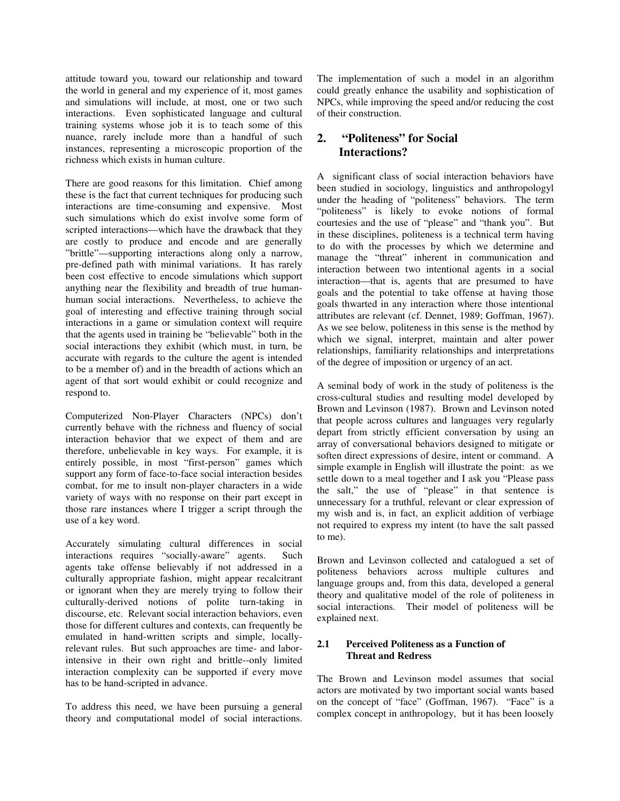attitude toward you, toward our relationship and toward the world in general and my experience of it, most games and simulations will include, at most, one or two such interactions. Even sophisticated language and cultural training systems whose job it is to teach some of this nuance, rarely include more than a handful of such instances, representing a microscopic proportion of the richness which exists in human culture.

There are good reasons for this limitation. Chief among these is the fact that current techniques for producing such interactions are time-consuming and expensive. Most such simulations which do exist involve some form of scripted interactions—which have the drawback that they are costly to produce and encode and are generally "brittle"—supporting interactions along only a narrow, pre-defined path with minimal variations. It has rarely been cost effective to encode simulations which support anything near the flexibility and breadth of true humanhuman social interactions. Nevertheless, to achieve the goal of interesting and effective training through social interactions in a game or simulation context will require that the agents used in training be "believable" both in the social interactions they exhibit (which must, in turn, be accurate with regards to the culture the agent is intended to be a member of) and in the breadth of actions which an agent of that sort would exhibit or could recognize and respond to.

Computerized Non-Player Characters (NPCs) don't currently behave with the richness and fluency of social interaction behavior that we expect of them and are therefore, unbelievable in key ways. For example, it is entirely possible, in most "first-person" games which support any form of face-to-face social interaction besides combat, for me to insult non-player characters in a wide variety of ways with no response on their part except in those rare instances where I trigger a script through the use of a key word.

Accurately simulating cultural differences in social interactions requires "socially-aware" agents. Such agents take offense believably if not addressed in a culturally appropriate fashion, might appear recalcitrant or ignorant when they are merely trying to follow their culturally-derived notions of polite turn-taking in discourse, etc. Relevant social interaction behaviors, even those for different cultures and contexts, can frequently be emulated in hand-written scripts and simple, locallyrelevant rules. But such approaches are time- and laborintensive in their own right and brittle--only limited interaction complexity can be supported if every move has to be hand-scripted in advance.

To address this need, we have been pursuing a general theory and computational model of social interactions.

The implementation of such a model in an algorithm could greatly enhance the usability and sophistication of NPCs, while improving the speed and/or reducing the cost of their construction.

## **2. "Politeness" for Social Interactions?**

A significant class of social interaction behaviors have been studied in sociology, linguistics and anthropologyl under the heading of "politeness" behaviors. The term "politeness" is likely to evoke notions of formal courtesies and the use of "please" and "thank you". But in these disciplines, politeness is a technical term having to do with the processes by which we determine and manage the "threat" inherent in communication and interaction between two intentional agents in a social interaction—that is, agents that are presumed to have goals and the potential to take offense at having those goals thwarted in any interaction where those intentional attributes are relevant (cf. Dennet, 1989; Goffman, 1967). As we see below, politeness in this sense is the method by which we signal, interpret, maintain and alter power relationships, familiarity relationships and interpretations of the degree of imposition or urgency of an act.

A seminal body of work in the study of politeness is the cross-cultural studies and resulting model developed by Brown and Levinson (1987). Brown and Levinson noted that people across cultures and languages very regularly depart from strictly efficient conversation by using an array of conversational behaviors designed to mitigate or soften direct expressions of desire, intent or command. A simple example in English will illustrate the point: as we settle down to a meal together and I ask you "Please pass the salt," the use of "please" in that sentence is unnecessary for a truthful, relevant or clear expression of my wish and is, in fact, an explicit addition of verbiage not required to express my intent (to have the salt passed to me).

Brown and Levinson collected and catalogued a set of politeness behaviors across multiple cultures and language groups and, from this data, developed a general theory and qualitative model of the role of politeness in social interactions. Their model of politeness will be explained next.

## **2.1 Perceived Politeness as a Function of Threat and Redress**

The Brown and Levinson model assumes that social actors are motivated by two important social wants based on the concept of "face" (Goffman, 1967). "Face" is a complex concept in anthropology, but it has been loosely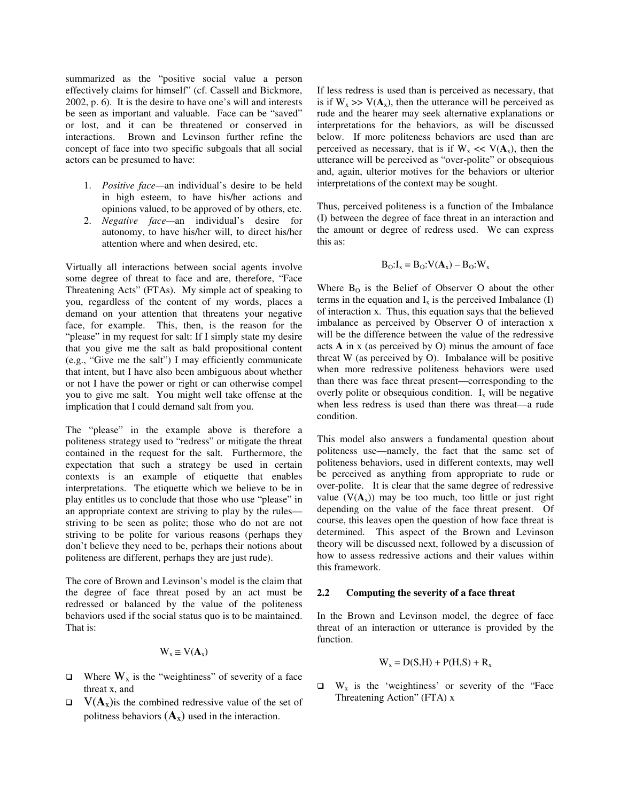summarized as the "positive social value a person effectively claims for himself" (cf. Cassell and Bickmore, 2002, p. 6). It is the desire to have one's will and interests be seen as important and valuable. Face can be "saved" or lost, and it can be threatened or conserved in interactions. Brown and Levinson further refine the concept of face into two specific subgoals that all social actors can be presumed to have:

- 1. *Positive face—*an individual's desire to be held in high esteem, to have his/her actions and opinions valued, to be approved of by others, etc.
- 2. *Negative face—*an individual's desire for autonomy, to have his/her will, to direct his/her attention where and when desired, etc.

Virtually all interactions between social agents involve some degree of threat to face and are, therefore, "Face Threatening Acts" (FTAs). My simple act of speaking to you, regardless of the content of my words, places a demand on your attention that threatens your negative face, for example. This, then, is the reason for the "please" in my request for salt: If I simply state my desire that you give me the salt as bald propositional content (e.g., "Give me the salt") I may efficiently communicate that intent, but I have also been ambiguous about whether or not I have the power or right or can otherwise compel you to give me salt. You might well take offense at the implication that I could demand salt from you.

The "please" in the example above is therefore a politeness strategy used to "redress" or mitigate the threat contained in the request for the salt. Furthermore, the expectation that such a strategy be used in certain contexts is an example of etiquette that enables interpretations. The etiquette which we believe to be in play entitles us to conclude that those who use "please" in an appropriate context are striving to play by the rules striving to be seen as polite; those who do not are not striving to be polite for various reasons (perhaps they don't believe they need to be, perhaps their notions about politeness are different, perhaps they are just rude).

The core of Brown and Levinson's model is the claim that the degree of face threat posed by an act must be redressed or balanced by the value of the politeness behaviors used if the social status quo is to be maintained. That is:

$$
W_x \cong V(\mathbf{A}_x)
$$

- $\Box$  Where  $W_x$  is the "weightiness" of severity of a face threat x, and
- $V(\mathbf{A}_x)$  is the combined redressive value of the set of politness behaviors  $(A_x)$  used in the interaction.

If less redress is used than is perceived as necessary, that is if  $W_x \gg V(A_x)$ , then the utterance will be perceived as rude and the hearer may seek alternative explanations or interpretations for the behaviors, as will be discussed below. If more politeness behaviors are used than are perceived as necessary, that is if  $W_x \ll V(A_x)$ , then the utterance will be perceived as "over-polite" or obsequious and, again, ulterior motives for the behaviors or ulterior interpretations of the context may be sought.

Thus, perceived politeness is a function of the Imbalance (I) between the degree of face threat in an interaction and the amount or degree of redress used. We can express this as:

$$
B_O:I_x = B_O: V(A_x) - B_O: W_x
$$

Where  $B_0$  is the Belief of Observer O about the other terms in the equation and  $I_x$  is the perceived Imbalance (I) of interaction x. Thus, this equation says that the believed imbalance as perceived by Observer O of interaction x will be the difference between the value of the redressive acts **A** in x (as perceived by O) minus the amount of face threat W (as perceived by O). Imbalance will be positive when more redressive politeness behaviors were used than there was face threat present—corresponding to the overly polite or obsequious condition.  $I_x$  will be negative when less redress is used than there was threat—a rude condition.

This model also answers a fundamental question about politeness use—namely, the fact that the same set of politeness behaviors, used in different contexts, may well be perceived as anything from appropriate to rude or over-polite. It is clear that the same degree of redressive value  $(V(A_x))$  may be too much, too little or just right depending on the value of the face threat present. Of course, this leaves open the question of how face threat is determined. This aspect of the Brown and Levinson theory will be discussed next, followed by a discussion of how to assess redressive actions and their values within this framework.

#### **2.2 Computing the severity of a face threat**

In the Brown and Levinson model, the degree of face threat of an interaction or utterance is provided by the function.

$$
W_x = D(S,H) + P(H,S) + R_x
$$

 $\Box$  W<sub>x</sub> is the 'weightiness' or severity of the "Face Threatening Action" (FTA) x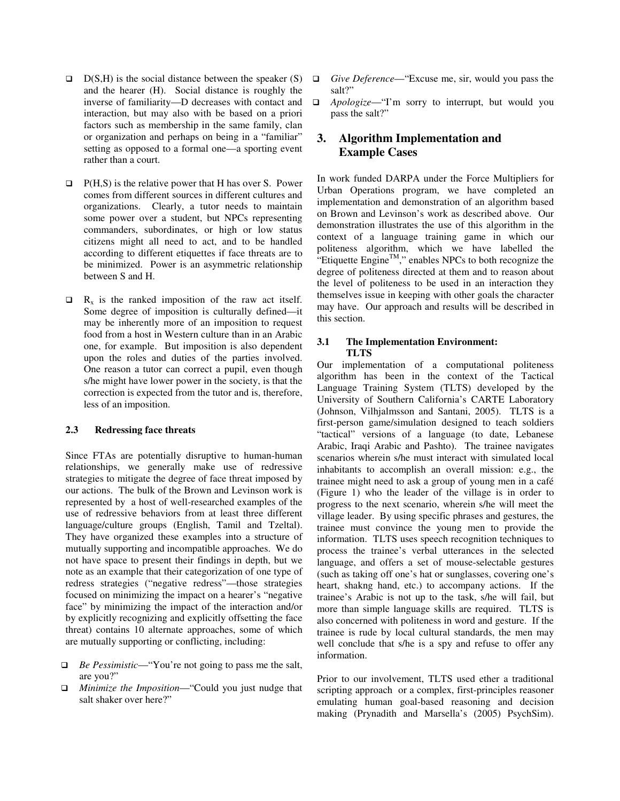- $D(S,H)$  is the social distance between the speaker (S) and the hearer (H). Social distance is roughly the inverse of familiarity—D decreases with contact and interaction, but may also with be based on a priori factors such as membership in the same family, clan or organization and perhaps on being in a "familiar" setting as opposed to a formal one—a sporting event rather than a court.
- $\Box$  P(H,S) is the relative power that H has over S. Power comes from different sources in different cultures and organizations. Clearly, a tutor needs to maintain some power over a student, but NPCs representing commanders, subordinates, or high or low status citizens might all need to act, and to be handled according to different etiquettes if face threats are to be minimized. Power is an asymmetric relationship between S and H.
- $R_x$  is the ranked imposition of the raw act itself. Some degree of imposition is culturally defined—it may be inherently more of an imposition to request food from a host in Western culture than in an Arabic one, for example. But imposition is also dependent upon the roles and duties of the parties involved. One reason a tutor can correct a pupil, even though s/he might have lower power in the society, is that the correction is expected from the tutor and is, therefore, less of an imposition.

#### **2.3 Redressing face threats**

Since FTAs are potentially disruptive to human-human relationships, we generally make use of redressive strategies to mitigate the degree of face threat imposed by our actions. The bulk of the Brown and Levinson work is represented by a host of well-researched examples of the use of redressive behaviors from at least three different language/culture groups (English, Tamil and Tzeltal). They have organized these examples into a structure of mutually supporting and incompatible approaches. We do not have space to present their findings in depth, but we note as an example that their categorization of one type of redress strategies ("negative redress"—those strategies focused on minimizing the impact on a hearer's "negative face" by minimizing the impact of the interaction and/or by explicitly recognizing and explicitly offsetting the face threat) contains 10 alternate approaches, some of which are mutually supporting or conflicting, including:

- *Be Pessimistic*—"You're not going to pass me the salt, are you?"
- *Minimize the Imposition*—"Could you just nudge that salt shaker over here?"
- *Give Deference*—"Excuse me, sir, would you pass the salt?"
- *Apologize*—"I'm sorry to interrupt, but would you pass the salt?"

## **3. Algorithm Implementation and Example Cases**

In work funded DARPA under the Force Multipliers for Urban Operations program, we have completed an implementation and demonstration of an algorithm based on Brown and Levinson's work as described above. Our demonstration illustrates the use of this algorithm in the context of a language training game in which our politeness algorithm, which we have labelled the "Etiquette Engine<sup>TM</sup>," enables NPCs to both recognize the degree of politeness directed at them and to reason about the level of politeness to be used in an interaction they themselves issue in keeping with other goals the character may have. Our approach and results will be described in this section.

#### **3.1 The Implementation Environment: TLTS**

Our implementation of a computational politeness algorithm has been in the context of the Tactical Language Training System (TLTS) developed by the University of Southern California's CARTE Laboratory (Johnson, Vilhjalmsson and Santani, 2005). TLTS is a first-person game/simulation designed to teach soldiers "tactical" versions of a language (to date, Lebanese Arabic, Iraqi Arabic and Pashto). The trainee navigates scenarios wherein s/he must interact with simulated local inhabitants to accomplish an overall mission: e.g., the trainee might need to ask a group of young men in a café (Figure 1) who the leader of the village is in order to progress to the next scenario, wherein s/he will meet the village leader. By using specific phrases and gestures, the trainee must convince the young men to provide the information. TLTS uses speech recognition techniques to process the trainee's verbal utterances in the selected language, and offers a set of mouse-selectable gestures (such as taking off one's hat or sunglasses, covering one's heart, shakng hand, etc.) to accompany actions. If the trainee's Arabic is not up to the task, s/he will fail, but more than simple language skills are required. TLTS is also concerned with politeness in word and gesture. If the trainee is rude by local cultural standards, the men may well conclude that s/he is a spy and refuse to offer any information.

Prior to our involvement, TLTS used ether a traditional scripting approach or a complex, first-principles reasoner emulating human goal-based reasoning and decision making (Prynadith and Marsella's (2005) PsychSim).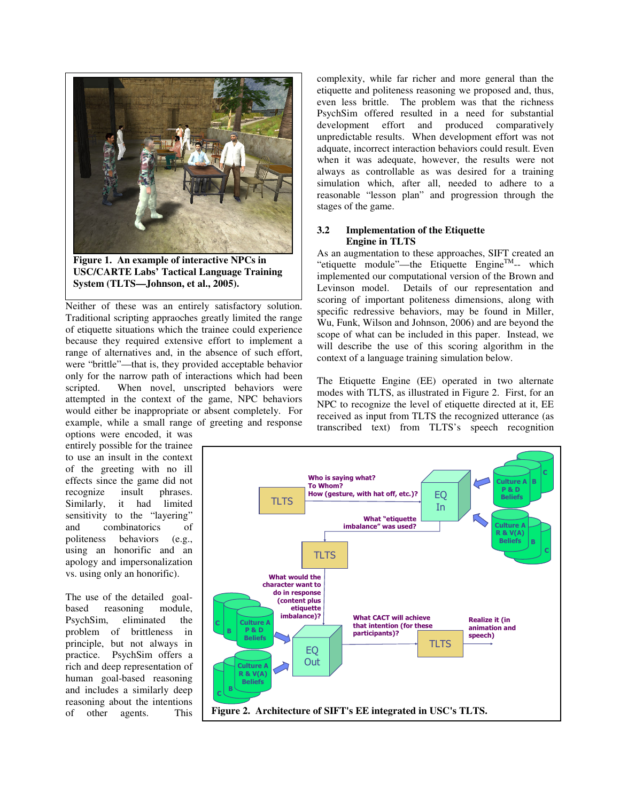

**Figure 1. An example of interactive NPCs in USC/CARTE Labs' Tactical Language Training System (TLTS—Johnson, et al., 2005).** 

Neither of these was an entirely satisfactory solution. Traditional scripting appraoches greatly limited the range of etiquette situations which the trainee could experience because they required extensive effort to implement a range of alternatives and, in the absence of such effort, were "brittle"—that is, they provided acceptable behavior only for the narrow path of interactions which had been scripted. When novel, unscripted behaviors were attempted in the context of the game, NPC behaviors would either be inappropriate or absent completely. For example, while a small range of greeting and response

options were encoded, it was entirely possible for the trainee to use an insult in the context of the greeting with no ill effects since the game did not<br>recognize insult phrases. recognize insult Similarly, it had limited sensitivity to the "layering" and combinatorics of politeness behaviors (e.g., using an honorific and an apology and impersonalization vs. using only an honorific).

The use of the detailed goalbased reasoning module, PsychSim, eliminated the problem of brittleness in principle, but not always in practice. PsychSim offers a rich and deep representation of human goal-based reasoning and includes a similarly deep reasoning about the intentions of other agents. This

complexity, while far richer and more general than the etiquette and politeness reasoning we proposed and, thus, even less brittle. The problem was that the richness PsychSim offered resulted in a need for substantial development effort and produced comparatively unpredictable results. When development effort was not adquate, incorrect interaction behaviors could result. Even when it was adequate, however, the results were not always as controllable as was desired for a training simulation which, after all, needed to adhere to a reasonable "lesson plan" and progression through the stages of the game.

#### **3.2 Implementation of the Etiquette Engine in TLTS**

As an augmentation to these approaches, SIFT created an "etiquette module"—the Etiquette Engine $<sup>TM</sup>$ -- which</sup> implemented our computational version of the Brown and Levinson model. Details of our representation and scoring of important politeness dimensions, along with specific redressive behaviors, may be found in Miller, Wu, Funk, Wilson and Johnson, 2006) and are beyond the scope of what can be included in this paper. Instead, we will describe the use of this scoring algorithm in the context of a language training simulation below.

The Etiquette Engine (EE) operated in two alternate modes with TLTS, as illustrated in Figure 2. First, for an NPC to recognize the level of etiquette directed at it, EE received as input from TLTS the recognized utterance (as transcribed text) from TLTS's speech recognition

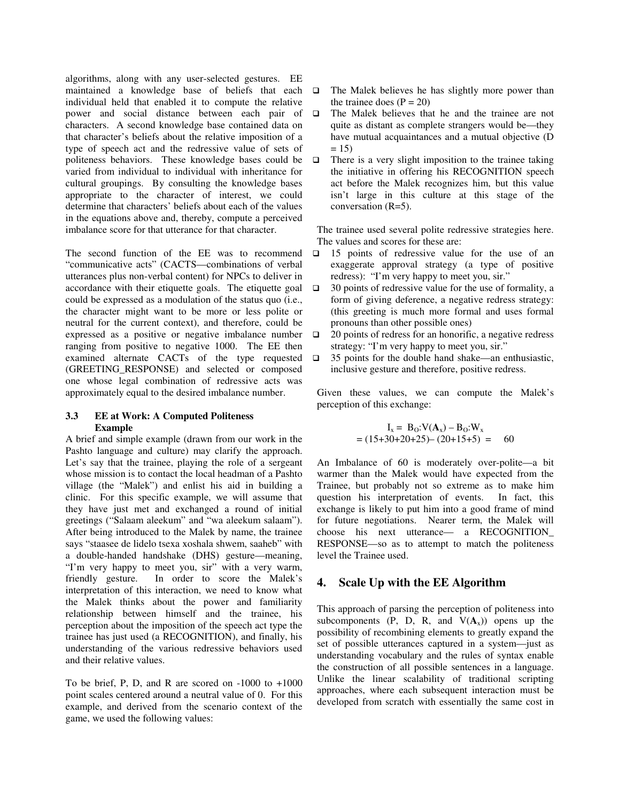algorithms, along with any user-selected gestures. EE maintained a knowledge base of beliefs that each individual held that enabled it to compute the relative power and social distance between each pair of characters. A second knowledge base contained data on that character's beliefs about the relative imposition of a type of speech act and the redressive value of sets of politeness behaviors. These knowledge bases could be varied from individual to individual with inheritance for cultural groupings. By consulting the knowledge bases appropriate to the character of interest, we could determine that characters' beliefs about each of the values in the equations above and, thereby, compute a perceived imbalance score for that utterance for that character.

The second function of the EE was to recommend "communicative acts" (CACTS—combinations of verbal utterances plus non-verbal content) for NPCs to deliver in accordance with their etiquette goals. The etiquette goal could be expressed as a modulation of the status quo (i.e., the character might want to be more or less polite or neutral for the current context), and therefore, could be expressed as a positive or negative imbalance number ranging from positive to negative 1000. The EE then examined alternate CACTs of the type requested (GREETING\_RESPONSE) and selected or composed one whose legal combination of redressive acts was approximately equal to the desired imbalance number.

#### **3.3 EE at Work: A Computed Politeness Example**

A brief and simple example (drawn from our work in the Pashto language and culture) may clarify the approach. Let's say that the trainee, playing the role of a sergeant whose mission is to contact the local headman of a Pashto village (the "Malek") and enlist his aid in building a clinic. For this specific example, we will assume that they have just met and exchanged a round of initial greetings ("Salaam aleekum" and "wa aleekum salaam"). After being introduced to the Malek by name, the trainee says "staasee de lidelo tsexa xoshala shwem, saaheb" with a double-handed handshake (DHS) gesture—meaning, "I'm very happy to meet you, sir" with a very warm, friendly gesture. In order to score the Malek's In order to score the Malek's interpretation of this interaction, we need to know what the Malek thinks about the power and familiarity relationship between himself and the trainee, his perception about the imposition of the speech act type the trainee has just used (a RECOGNITION), and finally, his understanding of the various redressive behaviors used and their relative values.

To be brief, P, D, and R are scored on  $-1000$  to  $+1000$ point scales centered around a neutral value of 0. For this example, and derived from the scenario context of the game, we used the following values:

- $\Box$  The Malek believes he has slightly more power than the trainee does  $(P = 20)$
- The Malek believes that he and the trainee are not quite as distant as complete strangers would be—they have mutual acquaintances and a mutual objective (D  $= 15$
- $\Box$  There is a very slight imposition to the trainee taking the initiative in offering his RECOGNITION speech act before the Malek recognizes him, but this value isn't large in this culture at this stage of the conversation (R=5).

The trainee used several polite redressive strategies here. The values and scores for these are:

- $\Box$  15 points of redressive value for the use of an exaggerate approval strategy (a type of positive redress): "I'm very happy to meet you, sir."
- $\Box$  30 points of redressive value for the use of formality, a form of giving deference, a negative redress strategy: (this greeting is much more formal and uses formal pronouns than other possible ones)
- $\Box$  20 points of redress for an honorific, a negative redress strategy: "I'm very happy to meet you, sir."
- $\Box$  35 points for the double hand shake—an enthusiastic, inclusive gesture and therefore, positive redress.

Given these values, we can compute the Malek's perception of this exchange:

$$
I_x = B_0: V(A_x) - B_0: W_x
$$
  
= (15+30+20+25) - (20+15+5) = 60

An Imbalance of 60 is moderately over-polite—a bit warmer than the Malek would have expected from the Trainee, but probably not so extreme as to make him question his interpretation of events. In fact, this exchange is likely to put him into a good frame of mind for future negotiations. Nearer term, the Malek will choose his next utterance— a RECOGNITION\_ RESPONSE—so as to attempt to match the politeness level the Trainee used.

## **4. Scale Up with the EE Algorithm**

This approach of parsing the perception of politeness into subcomponents  $(P, D, R, and V(A<sub>x</sub>))$  opens up the possibility of recombining elements to greatly expand the set of possible utterances captured in a system—just as understanding vocabulary and the rules of syntax enable the construction of all possible sentences in a language. Unlike the linear scalability of traditional scripting approaches, where each subsequent interaction must be developed from scratch with essentially the same cost in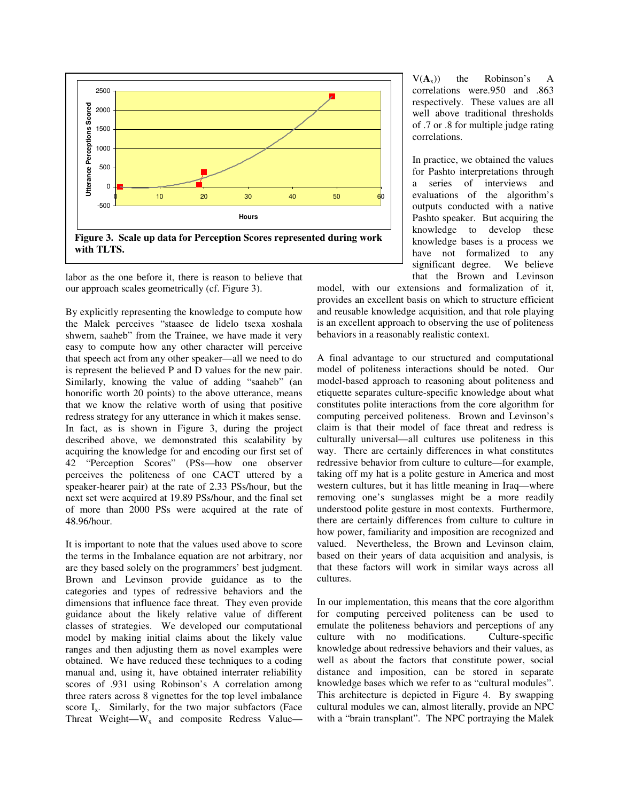

labor as the one before it, there is reason to believe that our approach scales geometrically (cf. Figure 3).

By explicitly representing the knowledge to compute how the Malek perceives "staasee de lidelo tsexa xoshala shwem, saaheb" from the Trainee, we have made it very easy to compute how any other character will perceive that speech act from any other speaker—all we need to do is represent the believed P and D values for the new pair. Similarly, knowing the value of adding "saaheb" (an honorific worth 20 points) to the above utterance, means that we know the relative worth of using that positive redress strategy for any utterance in which it makes sense. In fact, as is shown in Figure 3, during the project described above, we demonstrated this scalability by acquiring the knowledge for and encoding our first set of 42 "Perception Scores" (PSs—how one observer perceives the politeness of one CACT uttered by a speaker-hearer pair) at the rate of 2.33 PSs/hour, but the next set were acquired at 19.89 PSs/hour, and the final set of more than 2000 PSs were acquired at the rate of 48.96/hour.

It is important to note that the values used above to score the terms in the Imbalance equation are not arbitrary, nor are they based solely on the programmers' best judgment. Brown and Levinson provide guidance as to the categories and types of redressive behaviors and the dimensions that influence face threat. They even provide guidance about the likely relative value of different classes of strategies. We developed our computational model by making initial claims about the likely value ranges and then adjusting them as novel examples were obtained. We have reduced these techniques to a coding manual and, using it, have obtained interrater reliability scores of .931 using Robinson's A correlation among three raters across 8 vignettes for the top level imbalance score  $I_x$ . Similarly, for the two major subfactors (Face Threat Weight— $W_x$  and composite Redress Value—

 $V(A_x)$ ) the Robinson's A correlations were.950 and .863 respectively. These values are all well above traditional thresholds of .7 or .8 for multiple judge rating correlations.

In practice, we obtained the values for Pashto interpretations through a series of interviews and evaluations of the algorithm's outputs conducted with a native Pashto speaker. But acquiring the knowledge to develop these knowledge bases is a process we have not formalized to any significant degree. We believe that the Brown and Levinson

model, with our extensions and formalization of it, provides an excellent basis on which to structure efficient and reusable knowledge acquisition, and that role playing is an excellent approach to observing the use of politeness behaviors in a reasonably realistic context.

A final advantage to our structured and computational model of politeness interactions should be noted. Our model-based approach to reasoning about politeness and etiquette separates culture-specific knowledge about what constitutes polite interactions from the core algorithm for computing perceived politeness. Brown and Levinson's claim is that their model of face threat and redress is culturally universal—all cultures use politeness in this way. There are certainly differences in what constitutes redressive behavior from culture to culture—for example, taking off my hat is a polite gesture in America and most western cultures, but it has little meaning in Iraq—where removing one's sunglasses might be a more readily understood polite gesture in most contexts. Furthermore, there are certainly differences from culture to culture in how power, familiarity and imposition are recognized and valued. Nevertheless, the Brown and Levinson claim, based on their years of data acquisition and analysis, is that these factors will work in similar ways across all cultures.

In our implementation, this means that the core algorithm for computing perceived politeness can be used to emulate the politeness behaviors and perceptions of any culture with no modifications. Culture-specific knowledge about redressive behaviors and their values, as well as about the factors that constitute power, social distance and imposition, can be stored in separate knowledge bases which we refer to as "cultural modules". This architecture is depicted in Figure 4. By swapping cultural modules we can, almost literally, provide an NPC with a "brain transplant". The NPC portraying the Malek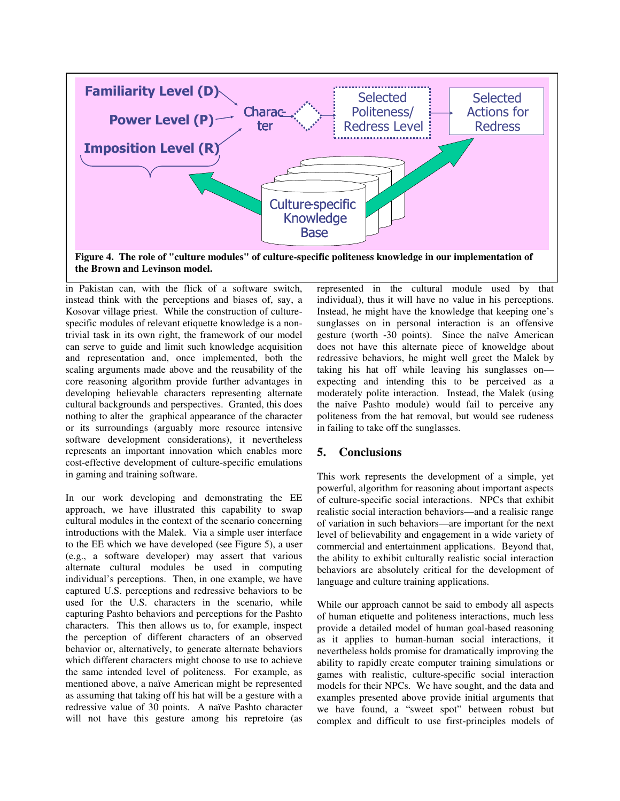

in Pakistan can, with the flick of a software switch, instead think with the perceptions and biases of, say, a Kosovar village priest. While the construction of culturespecific modules of relevant etiquette knowledge is a nontrivial task in its own right, the framework of our model can serve to guide and limit such knowledge acquisition and representation and, once implemented, both the scaling arguments made above and the reusability of the core reasoning algorithm provide further advantages in developing believable characters representing alternate cultural backgrounds and perspectives. Granted, this does nothing to alter the graphical appearance of the character or its surroundings (arguably more resource intensive software development considerations), it nevertheless represents an important innovation which enables more cost-effective development of culture-specific emulations in gaming and training software.

In our work developing and demonstrating the EE approach, we have illustrated this capability to swap cultural modules in the context of the scenario concerning introductions with the Malek. Via a simple user interface to the EE which we have developed (see Figure 5), a user (e.g., a software developer) may assert that various alternate cultural modules be used in computing individual's perceptions. Then, in one example, we have captured U.S. perceptions and redressive behaviors to be used for the U.S. characters in the scenario, while capturing Pashto behaviors and perceptions for the Pashto characters. This then allows us to, for example, inspect the perception of different characters of an observed behavior or, alternatively, to generate alternate behaviors which different characters might choose to use to achieve the same intended level of politeness. For example, as mentioned above, a naïve American might be represented as assuming that taking off his hat will be a gesture with a redressive value of 30 points. A naïve Pashto character will not have this gesture among his repretoire (as represented in the cultural module used by that individual), thus it will have no value in his perceptions. Instead, he might have the knowledge that keeping one's sunglasses on in personal interaction is an offensive gesture (worth -30 points). Since the naïve American does not have this alternate piece of knoweldge about redressive behaviors, he might well greet the Malek by taking his hat off while leaving his sunglasses on expecting and intending this to be perceived as a moderately polite interaction. Instead, the Malek (using the naïve Pashto module) would fail to perceive any politeness from the hat removal, but would see rudeness in failing to take off the sunglasses.

## **5. Conclusions**

This work represents the development of a simple, yet powerful, algorithm for reasoning about important aspects of culture-specific social interactions. NPCs that exhibit realistic social interaction behaviors—and a realisic range of variation in such behaviors—are important for the next level of believability and engagement in a wide variety of commercial and entertainment applications. Beyond that, the ability to exhibit culturally realistic social interaction behaviors are absolutely critical for the development of language and culture training applications.

While our approach cannot be said to embody all aspects of human etiquette and politeness interactions, much less provide a detailed model of human goal-based reasoning as it applies to human-human social interactions, it nevertheless holds promise for dramatically improving the ability to rapidly create computer training simulations or games with realistic, culture-specific social interaction models for their NPCs. We have sought, and the data and examples presented above provide initial arguments that we have found, a "sweet spot" between robust but complex and difficult to use first-principles models of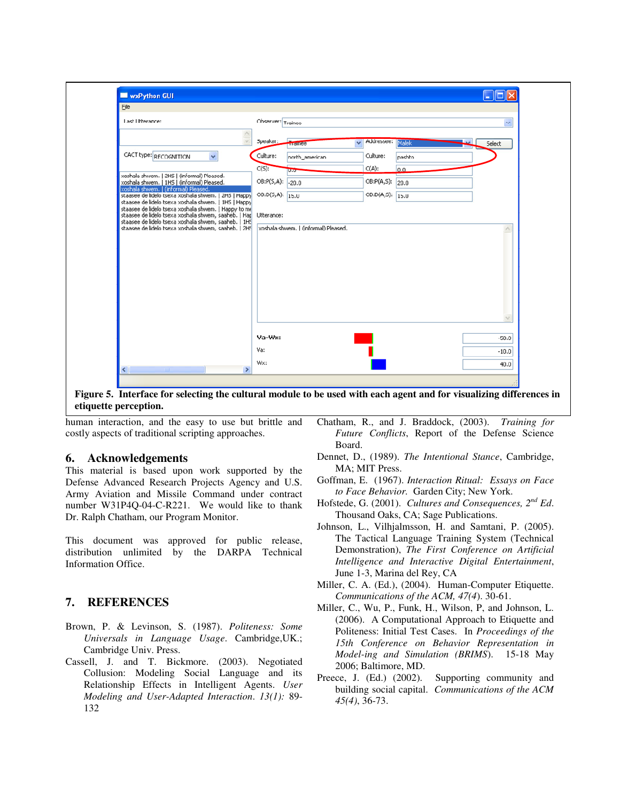

**Figure 5. Interface for selecting the cultural module to be used with each agent and for visualizing differences in etiquette perception.** 

human interaction, and the easy to use but brittle and costly aspects of traditional scripting approaches.

## **6. Acknowledgements**

This material is based upon work supported by the Defense Advanced Research Projects Agency and U.S. Army Aviation and Missile Command under contract number W31P4Q-04-C-R221. We would like to thank Dr. Ralph Chatham, our Program Monitor.

This document was approved for public release, distribution unlimited by the DARPA Technical Information Office.

## **7. REFERENCES**

- Brown, P. & Levinson, S. (1987). *Politeness: Some Universals in Language Usage*. Cambridge,UK.; Cambridge Univ. Press.
- Cassell, J. and T. Bickmore. (2003). Negotiated Collusion: Modeling Social Language and its Relationship Effects in Intelligent Agents. *User Modeling and User-Adapted Interaction*. *13(1):* 89- 132
- Chatham, R., and J. Braddock, (2003). *Training for Future Conflicts*, Report of the Defense Science Board.
- Dennet, D., (1989). *The Intentional Stance*, Cambridge, MA; MIT Press.
- Goffman, E. (1967). *Interaction Ritual: Essays on Face to Face Behavior.* Garden City; New York.
- Hofstede, G. (2001). *Cultures and Consequences, 2nd Ed*. Thousand Oaks, CA; Sage Publications.
- Johnson, L., Vilhjalmsson, H. and Samtani, P. (2005). The Tactical Language Training System (Technical Demonstration), *The First Conference on Artificial Intelligence and Interactive Digital Entertainment*, June 1-3, Marina del Rey, CA
- Miller, C. A. (Ed.), (2004). Human-Computer Etiquette. *Communications of the ACM, 47(4*). 30-61.
- Miller, C., Wu, P., Funk, H., Wilson, P, and Johnson, L. (2006). A Computational Approach to Etiquette and Politeness: Initial Test Cases. In *Proceedings of the 15th Conference on Behavior Representation in Model-ing and Simulation (BRIMS*). 15-18 May 2006; Baltimore, MD.
- Preece, J. (Ed.) (2002). Supporting community and building social capital. *Communications of the ACM 45(4)*, 36-73.